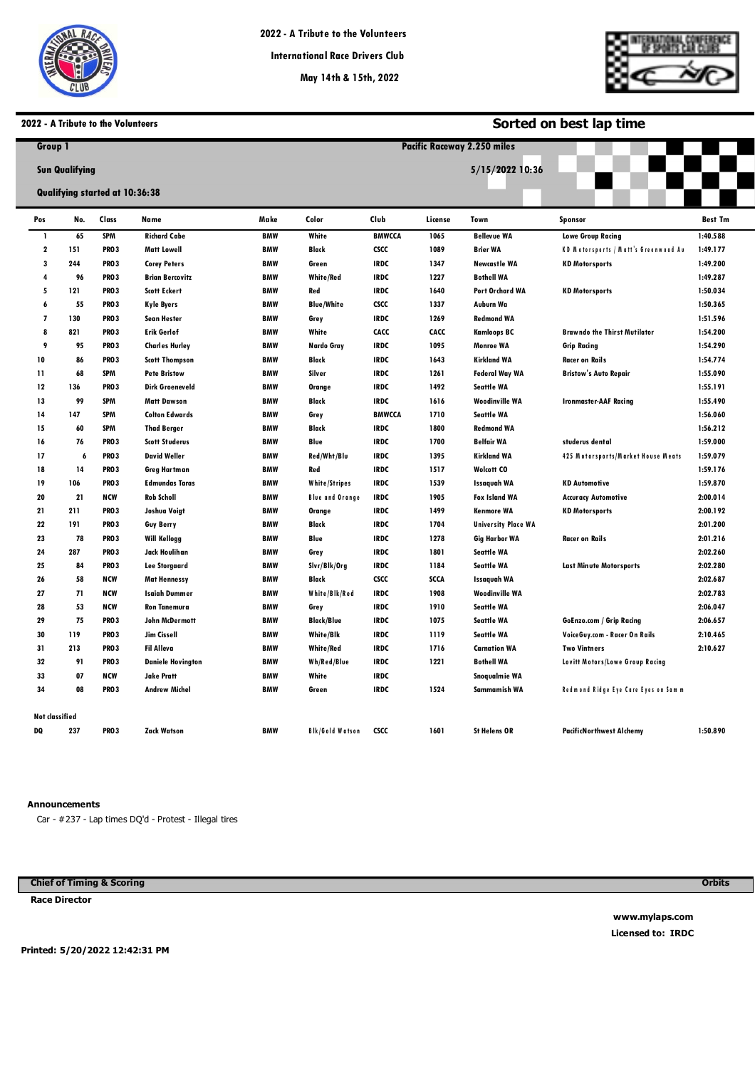

**Pacific Raceways**



**Sorted on best lap time**

### **2022 - A Tribute to the Volunteers**

| Group 1        |                       |                                |                          |                 | <b>Pacific Raceway 2.250 miles</b> |               |             |                            |                                             |                |  |  |  |
|----------------|-----------------------|--------------------------------|--------------------------|-----------------|------------------------------------|---------------|-------------|----------------------------|---------------------------------------------|----------------|--|--|--|
|                | <b>Sun Qualifying</b> | Qualifying started at 10:36:38 |                          | 5/15/2022 10:36 |                                    |               |             |                            |                                             |                |  |  |  |
|                |                       |                                |                          |                 |                                    |               |             |                            |                                             |                |  |  |  |
| Pos            | No.                   | Class                          | Name                     | Make            | Color                              | Club          | License     | Town                       | <b>Sponsor</b>                              | <b>Best Tm</b> |  |  |  |
| $\mathbf{I}$   | 65                    | <b>SPM</b>                     | <b>Richard Cabe</b>      | <b>BMW</b>      | White                              | <b>BMWCCA</b> | 1065        | <b>Bellevue WA</b>         | <b>Lowe Group Racing</b>                    | 1:40.588       |  |  |  |
| 2              | 151                   | <b>PRO3</b>                    | <b>Matt Lowell</b>       | <b>BMW</b>      | Black                              | <b>CSCC</b>   | 1089        | <b>Brier WA</b>            | <b>KD Motorsports / Matt's Greenwood At</b> | 1:49.177       |  |  |  |
| 3              | 244                   | <b>PRO3</b>                    | <b>Corey Peters</b>      | <b>BMW</b>      | Green                              | <b>IRDC</b>   | 1347        | <b>Newcastle WA</b>        | <b>KD Motorsports</b>                       | 1:49.200       |  |  |  |
| 4              | 96                    | <b>PRO3</b>                    | <b>Brian Bercovitz</b>   | <b>BMW</b>      | White/Red                          | <b>IRDC</b>   | 1227        | <b>Bothell WA</b>          |                                             | 1:49.287       |  |  |  |
| 5              | 121                   | PRO <sub>3</sub>               | <b>Scott Eckert</b>      | <b>BMW</b>      | Red                                | <b>IRDC</b>   | 1640        | Port Orchard WA            | <b>KD Motorsports</b>                       | 1:50.034       |  |  |  |
| 6              | 55                    | PRO <sub>3</sub>               | <b>Kyle Byers</b>        | <b>BMW</b>      | <b>Blue/White</b>                  | <b>CSCC</b>   | 1337        | Auburn Wa                  |                                             | 1:50.365       |  |  |  |
| 7              | 130                   | <b>PRO3</b>                    | <b>Sean Hester</b>       | <b>BMW</b>      | Grey                               | <b>IRDC</b>   | 1269        | <b>Redmond WA</b>          |                                             | 1:51.596       |  |  |  |
| 8              | 821                   | <b>PRO3</b>                    | <b>Erik Gerlof</b>       | <b>BMW</b>      | White                              | CACC          | CACC        | <b>Kamloops BC</b>         | <b>Brawndo the Thirst Mutilator</b>         | 1:54.200       |  |  |  |
| 9              | 95                    | <b>PRO3</b>                    | <b>Charles Hurley</b>    | <b>BMW</b>      | Nardo Gray                         | <b>IRDC</b>   | 1095        | <b>Monroe WA</b>           | <b>Grip Racing</b>                          | 1:54.290       |  |  |  |
| 10             | 86                    | PRO <sub>3</sub>               | <b>Scott Thompson</b>    | <b>BMW</b>      | <b>Black</b>                       | <b>IRDC</b>   | 1643        | <b>Kirkland WA</b>         | <b>Racer on Rails</b>                       | 1:54.774       |  |  |  |
| 11             | 68                    | <b>SPM</b>                     | <b>Pete Bristow</b>      | <b>BMW</b>      | Silver                             | <b>IRDC</b>   | 1261        | <b>Federal Way WA</b>      | <b>Bristow's Auto Repair</b>                | 1:55.090       |  |  |  |
| 12             | 136                   | <b>PRO3</b>                    | <b>Dirk Groeneveld</b>   | <b>BMW</b>      | Orange                             | <b>IRDC</b>   | 1492        | <b>Seattle WA</b>          |                                             | 1:55.191       |  |  |  |
| 13             | 99                    | <b>SPM</b>                     | <b>Matt Dawson</b>       | <b>BMW</b>      | <b>Black</b>                       | <b>IRDC</b>   | 1616        | <b>Woodinville WA</b>      | <b>Ironmaster-AAF Racing</b>                | 1:55.490       |  |  |  |
| 14             | 147                   | <b>SPM</b>                     | <b>Colton Edwards</b>    | <b>BMW</b>      | Grey                               | <b>BMWCCA</b> | 1710        | <b>Seattle WA</b>          |                                             | 1:56.060       |  |  |  |
| 15             | 60                    | <b>SPM</b>                     | <b>Thad Berger</b>       | <b>BMW</b>      | <b>Black</b>                       | <b>IRDC</b>   | 1800        | <b>Redmond WA</b>          |                                             | 1:56.212       |  |  |  |
| 16             | 76                    | <b>PRO3</b>                    | <b>Scott Studerus</b>    | <b>BMW</b>      | Blue                               | <b>IRDC</b>   | 1700        | <b>Belfair WA</b>          | studerus dental                             | 1:59.000       |  |  |  |
| 17             | 6                     | <b>PRO3</b>                    | <b>David Weller</b>      | <b>BMW</b>      | Red/Wht/Blu                        | <b>IRDC</b>   | 1395        | <b>Kirkland WA</b>         | 425 Motorsports/Market House Meats          | 1:59.079       |  |  |  |
| 18             | 14                    | <b>PRO3</b>                    | <b>Greg Hartman</b>      | <b>BMW</b>      | Red                                | <b>IRDC</b>   | 1517        | <b>Wolcott CO</b>          |                                             | 1:59.176       |  |  |  |
| 19             | 106                   | PRO <sub>3</sub>               | <b>Edmundas Taras</b>    | <b>BMW</b>      | <b>White/Stripes</b>               | <b>IRDC</b>   | 1539        | <b>Issaguah WA</b>         | <b>KD Automotive</b>                        | 1:59.870       |  |  |  |
| 20             | 21                    | <b>NCW</b>                     | <b>Rob Scholl</b>        | <b>BMW</b>      | <b>Blue and Orange</b>             | <b>IRDC</b>   | 1905        | <b>Fox Island WA</b>       | <b>Accuracy Automotive</b>                  | 2:00.014       |  |  |  |
| 21             | 211                   | <b>PRO3</b>                    | Joshua Voigt             | <b>BMW</b>      | Orange                             | <b>IRDC</b>   | 1499        | <b>Kenmore WA</b>          | <b>KD Motorsports</b>                       | 2:00.192       |  |  |  |
| 22             | 191                   | <b>PRO3</b>                    | <b>Guy Berry</b>         | <b>BMW</b>      | Black                              | <b>IRDC</b>   | 1704        | <b>University Place WA</b> |                                             | 2:01.200       |  |  |  |
| 23             | 78                    | PRO <sub>3</sub>               | Will Kellogg             | <b>BMW</b>      | Blue                               | <b>IRDC</b>   | 1278        | Gig Harbor WA              | Racer on Rails                              | 2:01.216       |  |  |  |
| 24             | 287                   | PRO <sub>3</sub>               | Jack Houlihan            | <b>BMW</b>      | Grey                               | <b>IRDC</b>   | 1801        | <b>Seattle WA</b>          |                                             | 2:02.260       |  |  |  |
| 25             | 84                    | <b>PRO3</b>                    | <b>Lee Storgaard</b>     | <b>BMW</b>      | Slvr/Blk/Org                       | <b>IRDC</b>   | 1184        | <b>Seattle WA</b>          | <b>Last Minute Motorsports</b>              | 2:02.280       |  |  |  |
| 26             | 58                    | <b>NCW</b>                     | <b>Mat Hennessy</b>      | <b>BMW</b>      | <b>Black</b>                       | <b>CSCC</b>   | <b>SCCA</b> | <b>Issaguah WA</b>         |                                             | 2:02.687       |  |  |  |
| 27             | 71                    | <b>NCW</b>                     | <b>Isaiah Dummer</b>     | <b>BMW</b>      | White/Blk/Red                      | <b>IRDC</b>   | 1908        | <b>Woodinville WA</b>      |                                             | 2:02.783       |  |  |  |
| 28             | 53                    | <b>NCW</b>                     | <b>Ron Tanemura</b>      | <b>BMW</b>      | Grey                               | <b>IRDC</b>   | 1910        | <b>Seattle WA</b>          |                                             | 2:06.047       |  |  |  |
| 29             | 75                    | <b>PRO3</b>                    | John McDermott           | <b>BMW</b>      | <b>Black/Blue</b>                  | <b>IRDC</b>   | 1075        | <b>Seattle WA</b>          | <b>GoEnzo.com / Grip Racing</b>             | 2:06.657       |  |  |  |
| 30             | 119                   | <b>PRO3</b>                    | Jim Cissell              | <b>BMW</b>      | White/Blk                          | <b>IRDC</b>   | 1119        | <b>Seattle WA</b>          | VoiceGuy.com - Racer On Rails               | 2:10.465       |  |  |  |
| 31             | 213                   | PRO <sub>3</sub>               | <b>Fil Alleva</b>        | <b>BMW</b>      | White/Red                          | <b>IRDC</b>   | 1716        | <b>Carnation WA</b>        | <b>Two Vintners</b>                         | 2:10.627       |  |  |  |
| 32             | 91                    | PRO <sub>3</sub>               | <b>Daniele Hovington</b> | BMW             | Wh/Red/Blue                        | <b>IRDC</b>   | 1221        | <b>Bothell WA</b>          | Lovitt Motors/Lowe Group Racing             |                |  |  |  |
| 33             | 07                    | <b>NCW</b>                     | <b>Jake Pratt</b>        | <b>BMW</b>      | White                              | <b>IRDC</b>   |             | Snoqualmie WA              |                                             |                |  |  |  |
| 34             | 08                    | <b>PRO3</b>                    | <b>Andrew Michel</b>     | <b>BMW</b>      | Green                              | <b>IRDC</b>   | 1524        | Sammamish WA               | Redmond Ridge Eye Care Eyes on Samm         |                |  |  |  |
| Not classified |                       |                                |                          |                 |                                    |               |             |                            |                                             |                |  |  |  |
| DQ             | 237                   | <b>PRO3</b>                    | Zack Watson              | <b>BMW</b>      | <b>Bik/Gold Watson</b>             | <b>CSCC</b>   | 1601        | <b>St Helens OR</b>        | <b>PacificNorthwest Alchemv</b>             | 1:50.890       |  |  |  |

### **Announcements**

**0** Car - #237 - Lap times DQ'd - Protest - Illegal tires

**Chief of Timing & Scoring** 

**Race Director** 

**Orbits** 

**www.mylaps.com Licensed to: IRDC** 

**Printed: 5/20/2022 12:42:31 PM**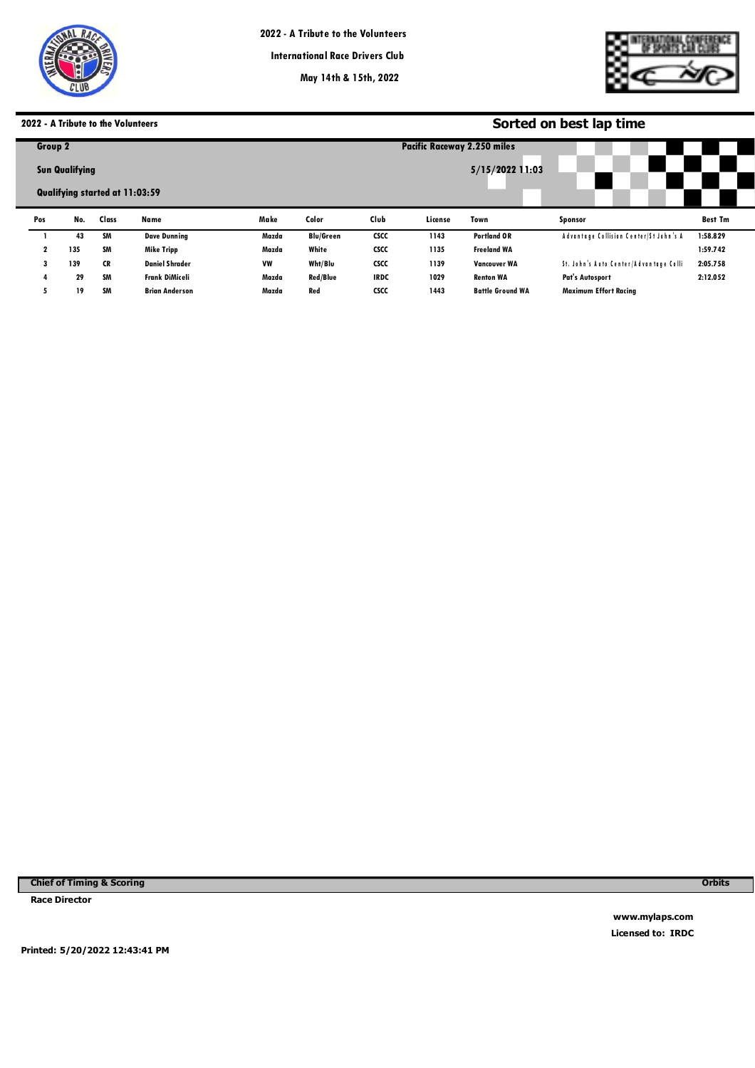

**International Race Drivers Club**

**May 14th & 15th, 2022**

**Pacific Raceways**



# **2022 - A Tribute to the Volunteers**

| 2022 - A Tribute to the Volunteers |                       |                                |                       |           |                  | Sorted on best lap time |         |                                    |                                        |                |  |  |
|------------------------------------|-----------------------|--------------------------------|-----------------------|-----------|------------------|-------------------------|---------|------------------------------------|----------------------------------------|----------------|--|--|
| Group 2                            |                       |                                |                       |           |                  |                         |         | <b>Pacific Raceway 2.250 miles</b> |                                        |                |  |  |
|                                    | <b>Sun Qualifying</b> | Qualifying started at 11:03:59 |                       |           |                  |                         |         | 5/15/2022 11:03                    |                                        |                |  |  |
| Pos                                | No.                   | Class                          | Name                  | Make      | Color            | Club                    | License | Town                               | Sponsor                                | <b>Best Tm</b> |  |  |
|                                    | 43                    | <b>SM</b>                      | <b>Dave Dunning</b>   | Mazda     | <b>Blu/Green</b> | <b>CSCC</b>             | 1143    | <b>Portland OR</b>                 | Advantage Collision Center/St John's A | 1:58.829       |  |  |
| 2                                  | 135                   | SM                             | Mike Tripp            | Mazda     | White            | <b>CSCC</b>             | 1135    | <b>Freeland WA</b>                 |                                        | 1:59.742       |  |  |
| 3                                  | 139                   | <b>CR</b>                      | <b>Daniel Shrader</b> | <b>VW</b> | Wht/Blu          | <b>CSCC</b>             | 1139    | <b>Vancouver WA</b>                | St. John's Auto Center/Advantage Colli | 2:05.758       |  |  |
| 4                                  | 29                    | SM                             | Frank DiMiceli        | Mazda     | <b>Red/Blue</b>  | <b>IRDC</b>             | 1029    | <b>Renton WA</b>                   | <b>Pat's Autosport</b>                 | 2:12.052       |  |  |
| 5                                  | 19                    | SM                             | <b>Brian Anderson</b> | Mazda     | Red              | <b>CSCC</b>             | 1443    | <b>Battle Ground WA</b>            | <b>Maximum Effort Racing</b>           |                |  |  |

**Chief of Timing & Scoring** 

**Race Director** 

**Orbits** 

**www.mylaps.com Licensed to: IRDC** 

**Printed: 5/20/2022 12:43:41 PM**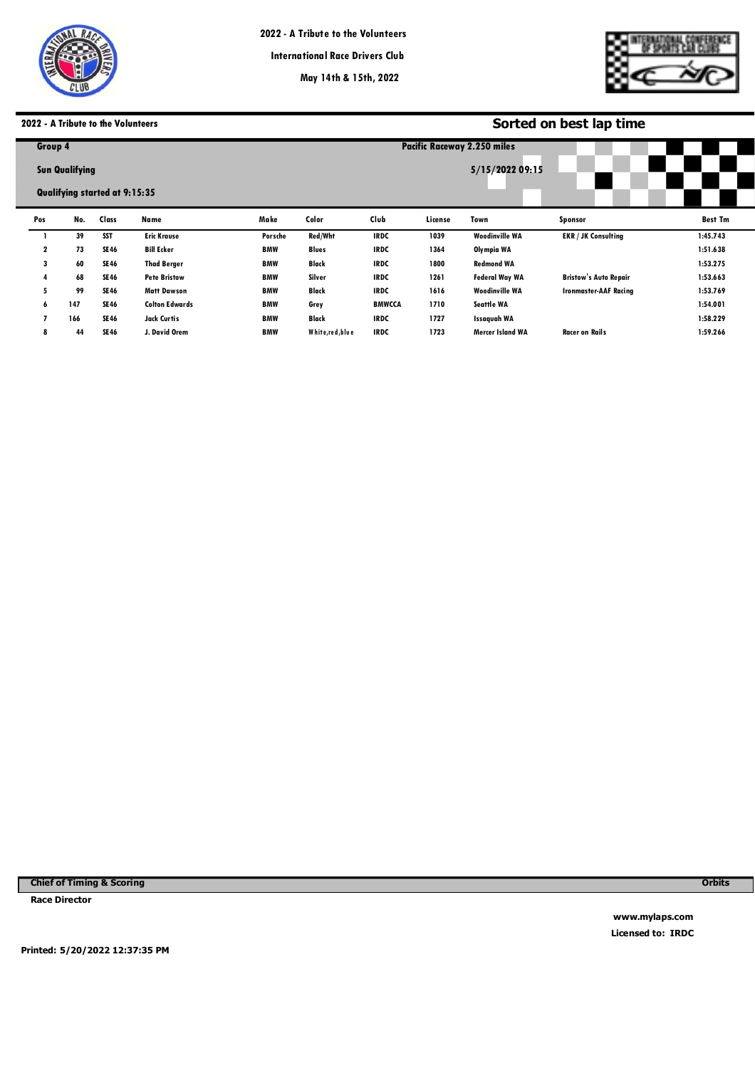

**Pacific Raceways**



# **2022 - A Tribute to the Volunteers**

|              | 022 - A Tribute to the Volunteers!                            |             |                       |            |                 | Sorted on best lap time |         |                                    |                              |                |  |  |  |
|--------------|---------------------------------------------------------------|-------------|-----------------------|------------|-----------------|-------------------------|---------|------------------------------------|------------------------------|----------------|--|--|--|
| Group 4      |                                                               |             |                       |            |                 |                         |         | <b>Pacific Raceway 2.250 miles</b> |                              |                |  |  |  |
|              | <b>Sun Qualifying</b><br><b>Qualifying started at 9:15:35</b> |             |                       |            | 5/15/2022 09:15 |                         |         |                                    |                              |                |  |  |  |
| Pos          | No.                                                           | Class       | Name                  | Make       | Color           | Club                    | License | Town                               | Sponsor                      | <b>Best Tm</b> |  |  |  |
|              | 39                                                            | <b>SST</b>  | <b>Eric Krause</b>    | Porsche    | Red/Wht         | <b>IRDC</b>             | 1039    | <b>Woodinville WA</b>              | <b>EKR / JK Consulting</b>   | 1:45.743       |  |  |  |
| $\mathbf{2}$ | 73                                                            | <b>SE46</b> | <b>Bill Ecker</b>     | <b>BMW</b> | <b>Blues</b>    | <b>IRDC</b>             | 1364    | Olympia WA                         |                              | 1:51.638       |  |  |  |
| 3            | 60                                                            | <b>SE46</b> | <b>Thad Berger</b>    | <b>BMW</b> | Black           | <b>IRDC</b>             | 1800    | <b>Redmond WA</b>                  |                              | 1:53.275       |  |  |  |
|              | 68                                                            | <b>SE46</b> | <b>Pete Bristow</b>   | <b>BMW</b> | Silver          | <b>IRDC</b>             | 1261    | <b>Federal Way WA</b>              | <b>Bristow's Auto Repair</b> | 1:53.663       |  |  |  |
| 5            | 99                                                            | <b>SE46</b> | <b>Matt Dawson</b>    | <b>BMW</b> | Black           | <b>IRDC</b>             | 1616    | <b>Woodinville WA</b>              | <b>Ironmaster-AAF Racing</b> | 1:53.769       |  |  |  |
| 6            | 147                                                           | <b>SE46</b> | <b>Colton Edwards</b> | <b>BMW</b> | Grey            | <b>BMWCCA</b>           | 1710    | <b>Seattle WA</b>                  |                              | 1:54.001       |  |  |  |
|              | 166                                                           | <b>SE46</b> | Jack Curtis           | <b>BMW</b> | Black           | <b>IRDC</b>             | 1727    | <b>Issaquah WA</b>                 |                              | 1:58.229       |  |  |  |
| 8            | 44                                                            | <b>SE46</b> | J. David Orem         | <b>BMW</b> | White,red, blue | <b>IRDC</b>             | 1723    | <b>Mercer Island WA</b>            | <b>Racer on Rails</b>        | 1:59.266       |  |  |  |
|              |                                                               |             |                       |            |                 |                         |         |                                    |                              |                |  |  |  |

**Chief of Timing & Scoring** 

**Race Director** 

**Orbits** 

**www.mylaps.com Licensed to: IRDC** 

**Printed: 5/20/2022 12:37:35 PM**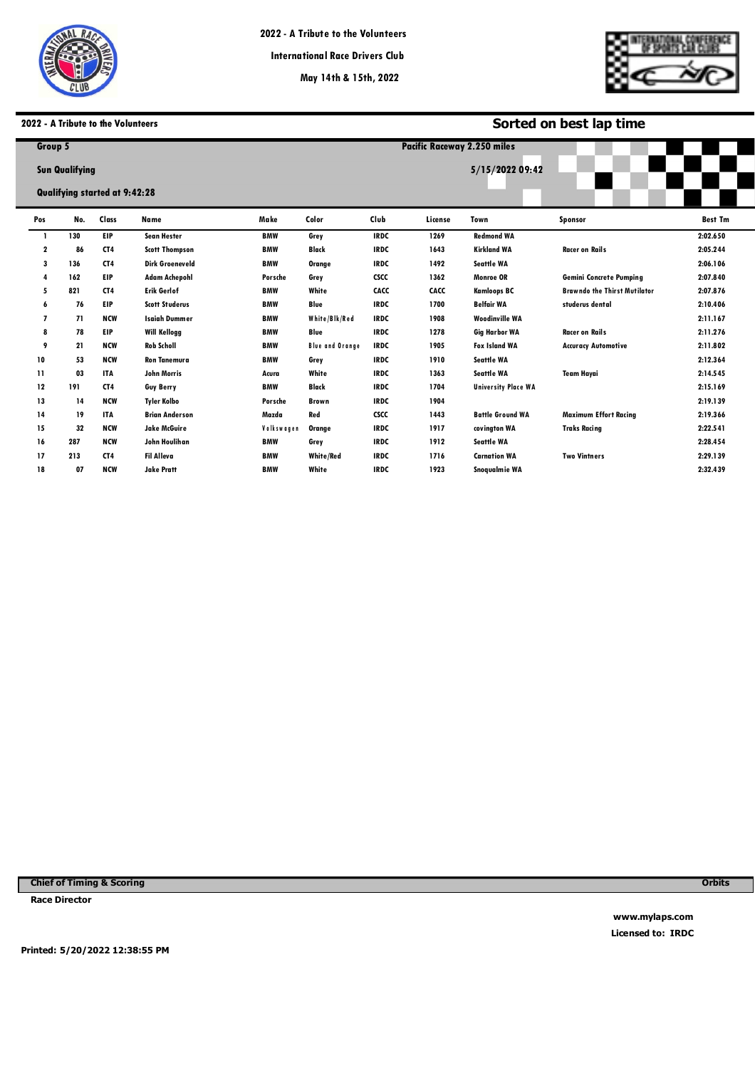

**Pacific Raceways**

# **2022 - A Tribute to the Volunteers**

|     | 2022 - A Tribute to the Volunteers |                 |                        |            |                        |             | Sorted on best lap time            |                            |                                     |                |  |  |
|-----|------------------------------------|-----------------|------------------------|------------|------------------------|-------------|------------------------------------|----------------------------|-------------------------------------|----------------|--|--|
|     | Group 5                            |                 |                        |            |                        |             | <b>Pacific Raceway 2.250 miles</b> |                            |                                     |                |  |  |
|     | <b>Sun Qualifying</b>              |                 |                        |            | 5/15/2022 09:42        |             |                                    |                            |                                     |                |  |  |
|     | Qualifying started at 9:42:28      |                 |                        |            |                        |             |                                    |                            |                                     |                |  |  |
| Pos | No.                                | Class           | Name                   | Make       | Color                  | Club        | License                            | Town                       | <b>Sponsor</b>                      | <b>Best Tm</b> |  |  |
| -1  | 130                                | EIP             | <b>Sean Hester</b>     | <b>BMW</b> | Grey                   | <b>IRDC</b> | 1269                               | <b>Redmond WA</b>          |                                     | 2:02.650       |  |  |
| 2   | 86                                 | CT4             | <b>Scott Thompson</b>  | <b>BMW</b> | <b>Black</b>           | <b>IRDC</b> | 1643                               | <b>Kirkland WA</b>         | <b>Racer on Rails</b>               | 2:05.244       |  |  |
| 3   | 136                                | CT <sub>4</sub> | <b>Dirk Groeneveld</b> | <b>BMW</b> | Orange                 | <b>IRDC</b> | 1492                               | <b>Seattle WA</b>          |                                     | 2:06.106       |  |  |
| 4   | 162                                | EIP             | <b>Adam Achepohl</b>   | Porsche    | Grey                   | <b>CSCC</b> | 1362                               | <b>Monroe OR</b>           | <b>Gemini Concrete Pumping</b>      | 2:07.840       |  |  |
| 5   | 821                                | CT4             | <b>Erik Gerlof</b>     | <b>BMW</b> | White                  | CACC        | CACC                               | <b>Kamloops BC</b>         | <b>Brawndo the Thirst Mutilator</b> | 2:07.876       |  |  |
| 6   | 76                                 | EIP             | <b>Scott Studerus</b>  | <b>BMW</b> | Blue                   | <b>IRDC</b> | 1700                               | <b>Belfair WA</b>          | studerus dental                     | 2:10.406       |  |  |
| 7   | 71                                 | <b>NCW</b>      | <b>Isaiah Dummer</b>   | <b>BMW</b> | White/Blk/Red          | <b>IRDC</b> | 1908                               | <b>Woodinville WA</b>      |                                     | 2:11.167       |  |  |
| 8   | 78                                 | EIP             | <b>Will Kellogg</b>    | <b>BMW</b> | Blue                   | <b>IRDC</b> | 1278                               | <b>Gig Harbor WA</b>       | <b>Racer on Rails</b>               | 2:11.276       |  |  |
| 9   | 21                                 | <b>NCW</b>      | <b>Rob Scholl</b>      | <b>BMW</b> | <b>Blue and Orange</b> | <b>IRDC</b> | 1905                               | <b>Fox Island WA</b>       | <b>Accuracy Automotive</b>          | 2:11.802       |  |  |
| 10  | 53                                 | <b>NCW</b>      | <b>Ron Tanemura</b>    | <b>BMW</b> | Grey                   | <b>IRDC</b> | 1910                               | <b>Seattle WA</b>          |                                     | 2:12.364       |  |  |
| 11  | 03                                 | <b>ITA</b>      | John Morris            | Acura      | White                  | <b>IRDC</b> | 1363                               | <b>Seattle WA</b>          | <b>Team Hayai</b>                   | 2:14.545       |  |  |
| 12  | 191                                | CT4             | <b>Guy Berry</b>       | <b>BMW</b> | <b>Black</b>           | <b>IRDC</b> | 1704                               | <b>University Place WA</b> |                                     | 2:15.169       |  |  |
| 13  | 14                                 | <b>NCW</b>      | <b>Tyler Kolbo</b>     | Porsche    | <b>Brown</b>           | <b>IRDC</b> | 1904                               |                            |                                     | 2:19.139       |  |  |
| 14  | 19                                 | <b>ITA</b>      | <b>Brian Anderson</b>  | Mazda      | Red                    | <b>CSCC</b> | 1443                               | <b>Battle Ground WA</b>    | <b>Maximum Effort Racing</b>        | 2:19.366       |  |  |
| 15  | 32                                 | <b>NCW</b>      | <b>Jake McGuire</b>    | Volkswagen | Orange                 | <b>IRDC</b> | 1917                               | covington WA               | <b>Traks Racing</b>                 | 2:22.541       |  |  |
| 16  | 287                                | <b>NCW</b>      | John Houlihan          | <b>BMW</b> | Grey                   | <b>IRDC</b> | 1912                               | <b>Seattle WA</b>          |                                     | 2:28.454       |  |  |
| 17  | 213                                | CT <sub>4</sub> | <b>Fil Alleva</b>      | <b>BMW</b> | <b>White/Red</b>       | <b>IRDC</b> | 1716                               | <b>Carnation WA</b>        | <b>Two Vintners</b>                 | 2:29.139       |  |  |
| 18  | 07                                 | <b>NCW</b>      | <b>Jake Pratt</b>      | <b>BMW</b> | White                  | <b>IRDC</b> | 1923                               | Snogualmie WA              |                                     | 2:32.439       |  |  |

**Chief of Timing & Scoring** 

**Race Director** 

**Orbits** 

**www.mylaps.com Licensed to: IRDC** 

**Printed: 5/20/2022 12:38:55 PM**